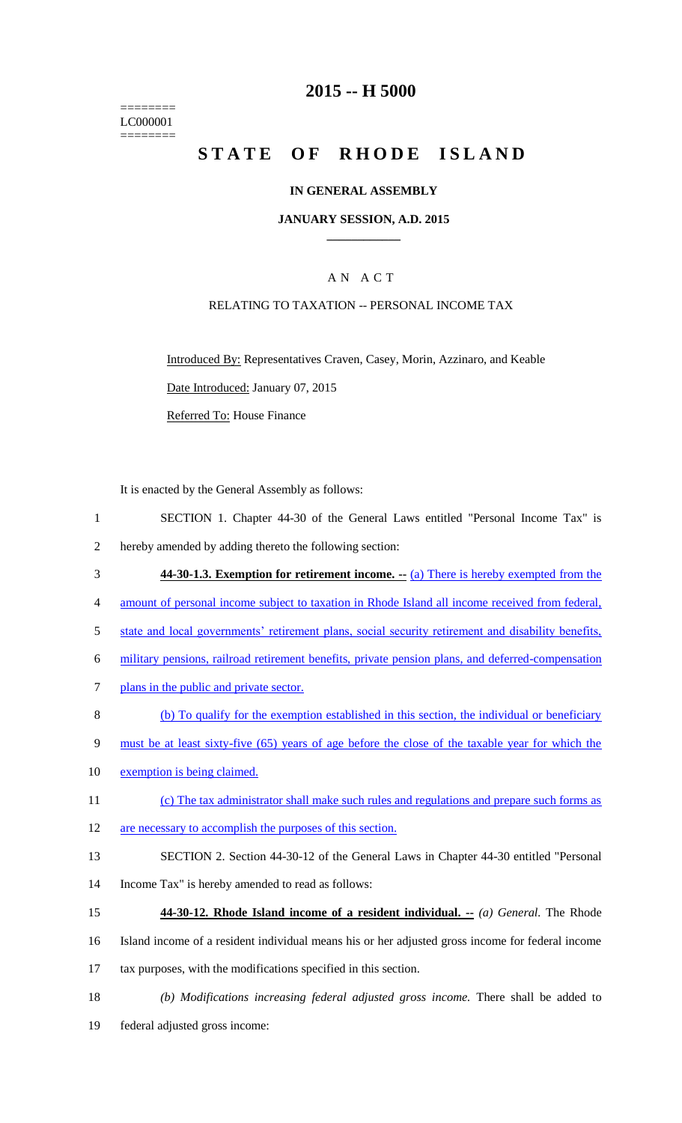======== LC000001 ========

## **2015 -- H 5000**

# STATE OF RHODE ISLAND

### **IN GENERAL ASSEMBLY**

### **JANUARY SESSION, A.D. 2015 \_\_\_\_\_\_\_\_\_\_\_\_**

### A N A C T

### RELATING TO TAXATION -- PERSONAL INCOME TAX

Introduced By: Representatives Craven, Casey, Morin, Azzinaro, and Keable Date Introduced: January 07, 2015

Referred To: House Finance

It is enacted by the General Assembly as follows:

- 1 SECTION 1. Chapter 44-30 of the General Laws entitled "Personal Income Tax" is 2 hereby amended by adding thereto the following section:
- 3 **44-30-1.3. Exemption for retirement income. --** (a) There is hereby exempted from the
- 4 amount of personal income subject to taxation in Rhode Island all income received from federal,
- 5 state and local governments' retirement plans, social security retirement and disability benefits,
- 6 military pensions, railroad retirement benefits, private pension plans, and deferred-compensation
- 7 plans in the public and private sector.
- 8 (b) To qualify for the exemption established in this section, the individual or beneficiary
- 9 must be at least sixty-five (65) years of age before the close of the taxable year for which the
- 10 exemption is being claimed.
- 11 (c) The tax administrator shall make such rules and regulations and prepare such forms as
- 12 are necessary to accomplish the purposes of this section.
- 13 SECTION 2. Section 44-30-12 of the General Laws in Chapter 44-30 entitled "Personal
- 14 Income Tax" is hereby amended to read as follows:
- 15 **44-30-12. Rhode Island income of a resident individual. --** *(a) General.* The Rhode
- 16 Island income of a resident individual means his or her adjusted gross income for federal income

17 tax purposes, with the modifications specified in this section.

18 *(b) Modifications increasing federal adjusted gross income.* There shall be added to 19 federal adjusted gross income: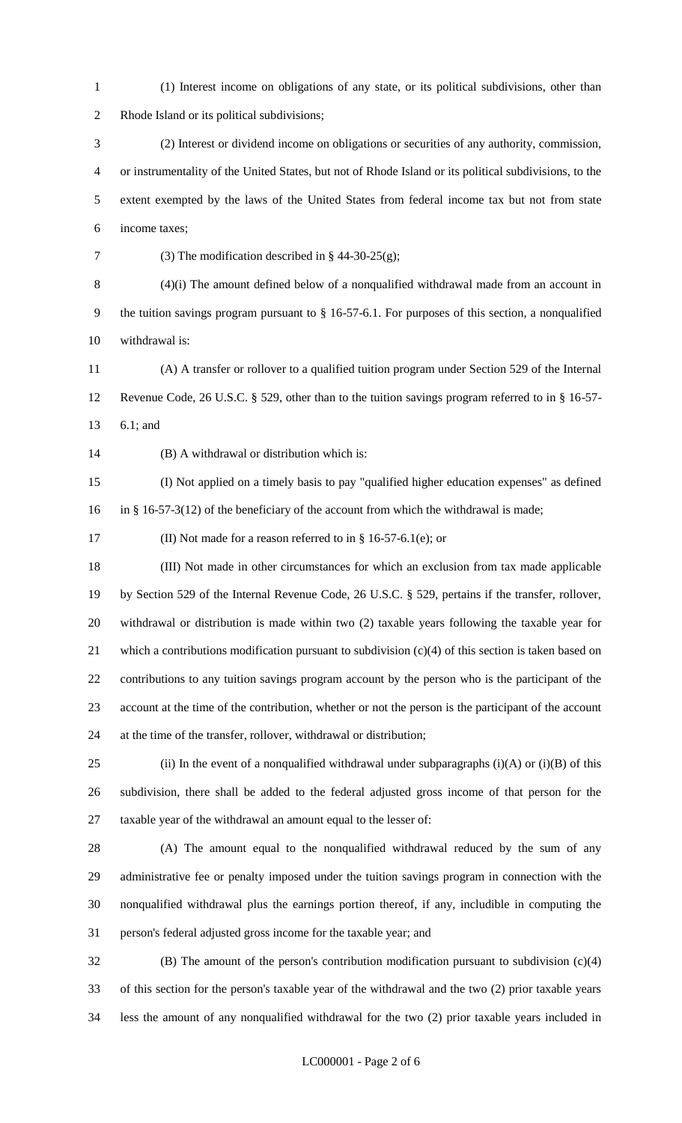(1) Interest income on obligations of any state, or its political subdivisions, other than Rhode Island or its political subdivisions;

 (2) Interest or dividend income on obligations or securities of any authority, commission, or instrumentality of the United States, but not of Rhode Island or its political subdivisions, to the extent exempted by the laws of the United States from federal income tax but not from state income taxes;

(3) The modification described in § 44-30-25(g);

(4)(i) The amount defined below of a nonqualified withdrawal made from an account in

 the tuition savings program pursuant to § 16-57-6.1. For purposes of this section, a nonqualified withdrawal is:

 (A) A transfer or rollover to a qualified tuition program under Section 529 of the Internal Revenue Code, 26 U.S.C. § 529, other than to the tuition savings program referred to in § 16-57-

6.1; and

(B) A withdrawal or distribution which is:

 (I) Not applied on a timely basis to pay "qualified higher education expenses" as defined in § 16-57-3(12) of the beneficiary of the account from which the withdrawal is made;

(II) Not made for a reason referred to in § 16-57-6.1(e); or

 (III) Not made in other circumstances for which an exclusion from tax made applicable by Section 529 of the Internal Revenue Code, 26 U.S.C. § 529, pertains if the transfer, rollover, withdrawal or distribution is made within two (2) taxable years following the taxable year for which a contributions modification pursuant to subdivision (c)(4) of this section is taken based on contributions to any tuition savings program account by the person who is the participant of the account at the time of the contribution, whether or not the person is the participant of the account at the time of the transfer, rollover, withdrawal or distribution;

25 (ii) In the event of a nonqualified withdrawal under subparagraphs  $(i)(A)$  or  $(i)(B)$  of this subdivision, there shall be added to the federal adjusted gross income of that person for the taxable year of the withdrawal an amount equal to the lesser of:

 (A) The amount equal to the nonqualified withdrawal reduced by the sum of any administrative fee or penalty imposed under the tuition savings program in connection with the nonqualified withdrawal plus the earnings portion thereof, if any, includible in computing the person's federal adjusted gross income for the taxable year; and

 (B) The amount of the person's contribution modification pursuant to subdivision (c)(4) of this section for the person's taxable year of the withdrawal and the two (2) prior taxable years less the amount of any nonqualified withdrawal for the two (2) prior taxable years included in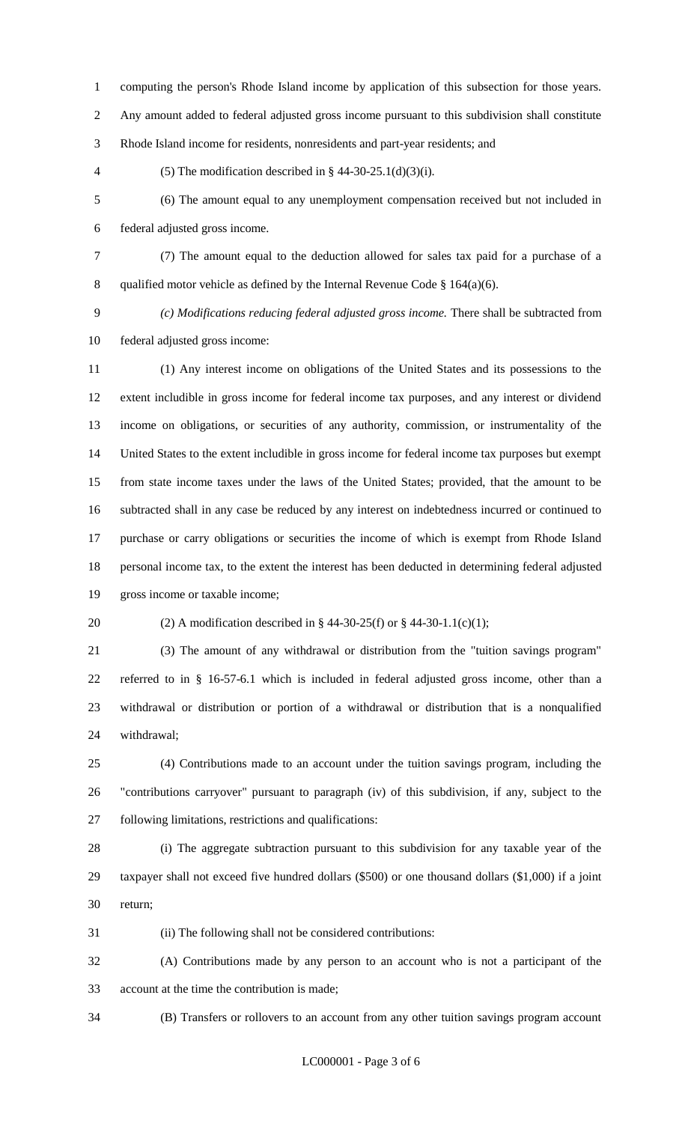computing the person's Rhode Island income by application of this subsection for those years.

Any amount added to federal adjusted gross income pursuant to this subdivision shall constitute

Rhode Island income for residents, nonresidents and part-year residents; and

4 (5) The modification described in  $\S$  44-30-25.1(d)(3)(i).

 (6) The amount equal to any unemployment compensation received but not included in federal adjusted gross income.

- (7) The amount equal to the deduction allowed for sales tax paid for a purchase of a 8 qualified motor vehicle as defined by the Internal Revenue Code  $\S$  164(a)(6).
- 

 *(c) Modifications reducing federal adjusted gross income.* There shall be subtracted from federal adjusted gross income:

 (1) Any interest income on obligations of the United States and its possessions to the extent includible in gross income for federal income tax purposes, and any interest or dividend income on obligations, or securities of any authority, commission, or instrumentality of the United States to the extent includible in gross income for federal income tax purposes but exempt from state income taxes under the laws of the United States; provided, that the amount to be subtracted shall in any case be reduced by any interest on indebtedness incurred or continued to purchase or carry obligations or securities the income of which is exempt from Rhode Island personal income tax, to the extent the interest has been deducted in determining federal adjusted gross income or taxable income;

### 20 (2) A modification described in § 44-30-25(f) or § 44-30-1.1(c)(1);

 (3) The amount of any withdrawal or distribution from the "tuition savings program" referred to in § 16-57-6.1 which is included in federal adjusted gross income, other than a withdrawal or distribution or portion of a withdrawal or distribution that is a nonqualified withdrawal;

 (4) Contributions made to an account under the tuition savings program, including the "contributions carryover" pursuant to paragraph (iv) of this subdivision, if any, subject to the following limitations, restrictions and qualifications:

 (i) The aggregate subtraction pursuant to this subdivision for any taxable year of the taxpayer shall not exceed five hundred dollars (\$500) or one thousand dollars (\$1,000) if a joint return;

(ii) The following shall not be considered contributions:

 (A) Contributions made by any person to an account who is not a participant of the account at the time the contribution is made;

(B) Transfers or rollovers to an account from any other tuition savings program account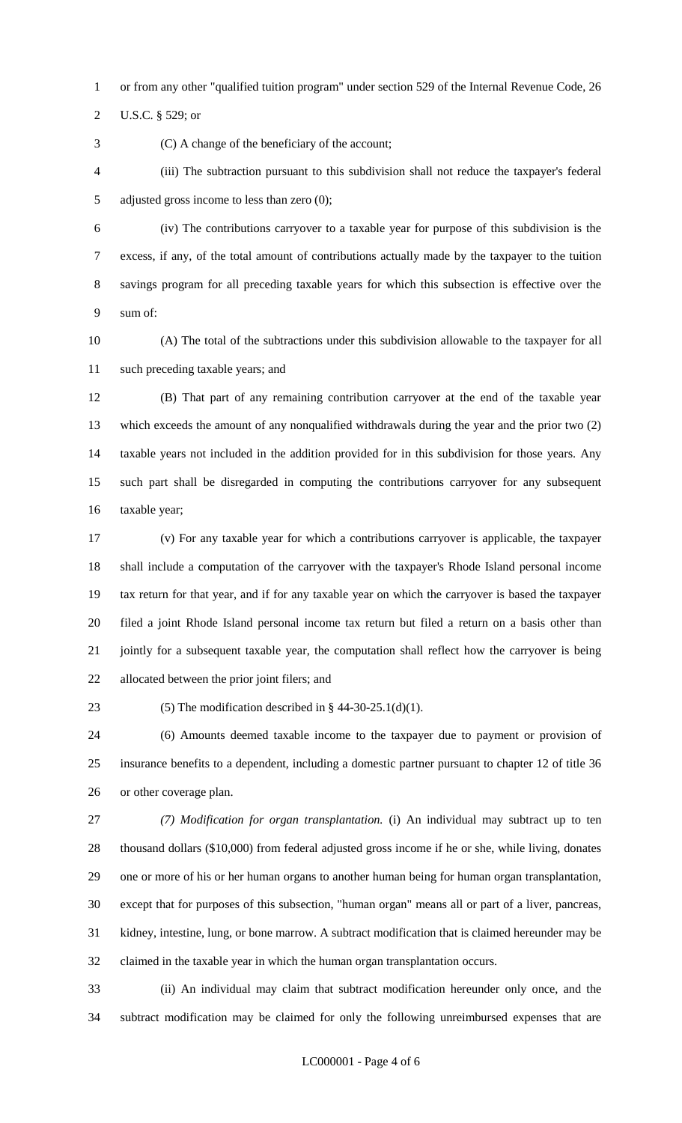or from any other "qualified tuition program" under section 529 of the Internal Revenue Code, 26

U.S.C. § 529; or

(C) A change of the beneficiary of the account;

 (iii) The subtraction pursuant to this subdivision shall not reduce the taxpayer's federal adjusted gross income to less than zero (0);

 (iv) The contributions carryover to a taxable year for purpose of this subdivision is the excess, if any, of the total amount of contributions actually made by the taxpayer to the tuition savings program for all preceding taxable years for which this subsection is effective over the sum of:

 (A) The total of the subtractions under this subdivision allowable to the taxpayer for all such preceding taxable years; and

 (B) That part of any remaining contribution carryover at the end of the taxable year which exceeds the amount of any nonqualified withdrawals during the year and the prior two (2) taxable years not included in the addition provided for in this subdivision for those years. Any such part shall be disregarded in computing the contributions carryover for any subsequent taxable year;

 (v) For any taxable year for which a contributions carryover is applicable, the taxpayer shall include a computation of the carryover with the taxpayer's Rhode Island personal income tax return for that year, and if for any taxable year on which the carryover is based the taxpayer filed a joint Rhode Island personal income tax return but filed a return on a basis other than jointly for a subsequent taxable year, the computation shall reflect how the carryover is being allocated between the prior joint filers; and

23 (5) The modification described in  $\S$  44-30-25.1(d)(1).

 (6) Amounts deemed taxable income to the taxpayer due to payment or provision of insurance benefits to a dependent, including a domestic partner pursuant to chapter 12 of title 36 or other coverage plan.

 *(7) Modification for organ transplantation.* (i) An individual may subtract up to ten thousand dollars (\$10,000) from federal adjusted gross income if he or she, while living, donates one or more of his or her human organs to another human being for human organ transplantation, except that for purposes of this subsection, "human organ" means all or part of a liver, pancreas, kidney, intestine, lung, or bone marrow. A subtract modification that is claimed hereunder may be claimed in the taxable year in which the human organ transplantation occurs.

 (ii) An individual may claim that subtract modification hereunder only once, and the subtract modification may be claimed for only the following unreimbursed expenses that are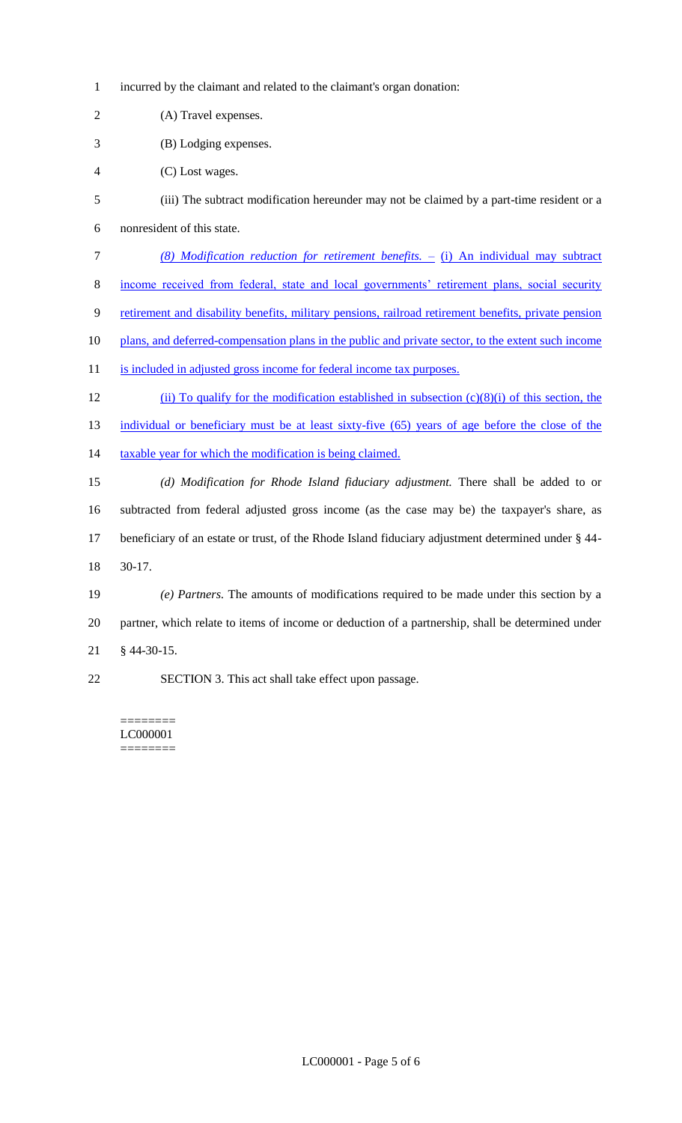- incurred by the claimant and related to the claimant's organ donation:
- (A) Travel expenses.
- (B) Lodging expenses.
- (C) Lost wages.
- (iii) The subtract modification hereunder may not be claimed by a part-time resident or a
- nonresident of this state.
- *(8) Modification reduction for retirement benefits.* (i) An individual may subtract
- income received from federal, state and local governments' retirement plans, social security
- retirement and disability benefits, military pensions, railroad retirement benefits, private pension
- 10 plans, and deferred-compensation plans in the public and private sector, to the extent such income
- 11 is included in adjusted gross income for federal income tax purposes.
- (ii) To qualify for the modification established in subsection (c)(8)(i) of this section, the 13 individual or beneficiary must be at least sixty-five (65) years of age before the close of the 14 taxable year for which the modification is being claimed.
- *(d) Modification for Rhode Island fiduciary adjustment.* There shall be added to or subtracted from federal adjusted gross income (as the case may be) the taxpayer's share, as beneficiary of an estate or trust, of the Rhode Island fiduciary adjustment determined under § 44- 30-17.
- *(e) Partners.* The amounts of modifications required to be made under this section by a partner, which relate to items of income or deduction of a partnership, shall be determined under § 44-30-15.
- SECTION 3. This act shall take effect upon passage.

#### ======== LC000001 ========